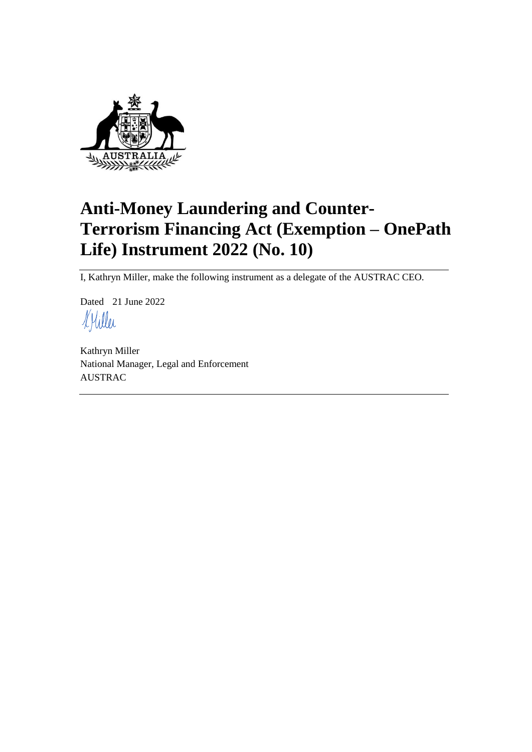

# **Anti-Money Laundering and Counter-Terrorism Financing Act (Exemption – OnePath Life) Instrument 2022 (No. 10)**

I, Kathryn Miller, make the following instrument as a delegate of the AUSTRAC CEO.

Dated 21 June 2022 KHiller

Kathryn Miller National Manager, Legal and Enforcement AUSTRAC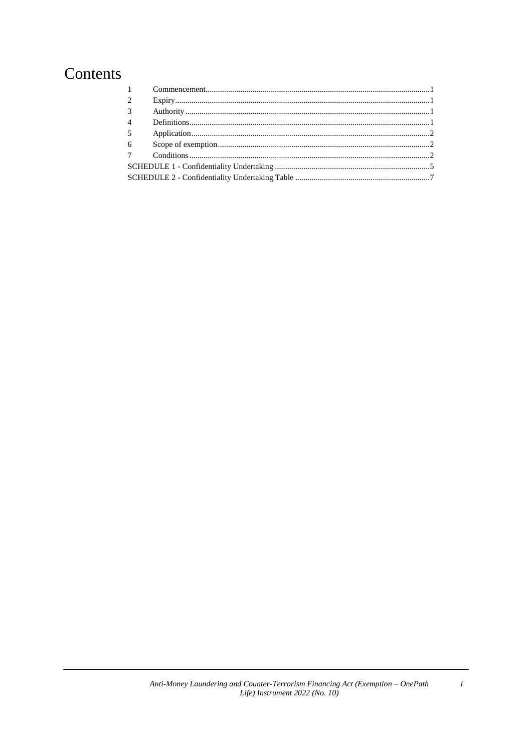## Contents

| $1 \quad \blacksquare$ |  |  |  |
|------------------------|--|--|--|
| 2                      |  |  |  |
| $\overline{3}$         |  |  |  |
| $\overline{4}$         |  |  |  |
| $5\overline{)}$        |  |  |  |
| 6                      |  |  |  |
| 7                      |  |  |  |
|                        |  |  |  |
|                        |  |  |  |

 $\boldsymbol{i}$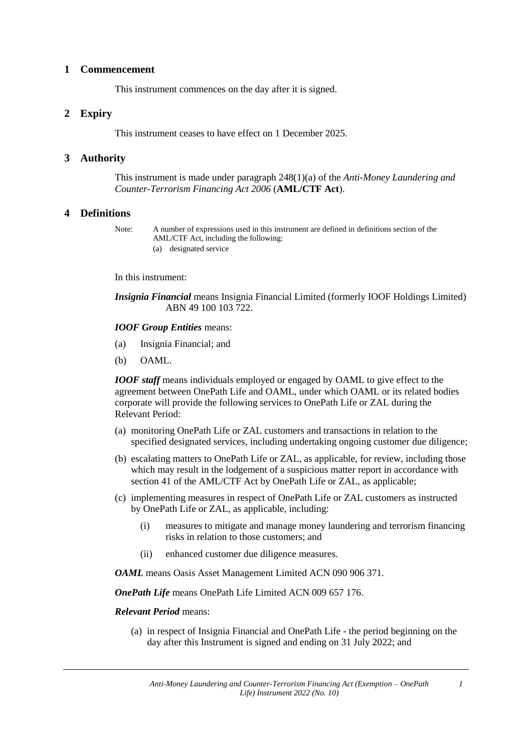#### **1 Commencement**

This instrument commences on the day after it is signed.

#### **2 Expiry**

This instrument ceases to have effect on 1 December 2025.

#### **3 Authority**

This instrument is made under paragraph 248(1)(a) of the *Anti-Money Laundering and Counter-Terrorism Financing Act 2006* (**AML/CTF Act**).

#### **4 Definitions**

Note: A number of expressions used in this instrument are defined in definitions section of the AML/CTF Act, including the following: (a) designated service

#### In this instrument:

*Insignia Financial* means Insignia Financial Limited (formerly IOOF Holdings Limited) ABN 49 100 103 722.

#### *IOOF Group Entities* means:

- (a) Insignia Financial; and
- (b) OAML.

*IOOF staff* means individuals employed or engaged by OAML to give effect to the agreement between OnePath Life and OAML, under which OAML or its related bodies corporate will provide the following services to OnePath Life or ZAL during the Relevant Period:

- (a) monitoring OnePath Life or ZAL customers and transactions in relation to the specified designated services, including undertaking ongoing customer due diligence;
- (b) escalating matters to OnePath Life or ZAL, as applicable, for review, including those which may result in the lodgement of a suspicious matter report in accordance with section 41 of the AML/CTF Act by OnePath Life or ZAL, as applicable;
- (c) implementing measures in respect of OnePath Life or ZAL customers as instructed by OnePath Life or ZAL, as applicable, including:
	- (i) measures to mitigate and manage money laundering and terrorism financing risks in relation to those customers; and
	- (ii) enhanced customer due diligence measures.

*OAML* means Oasis Asset Management Limited ACN 090 906 371.

*OnePath Life* means OnePath Life Limited ACN 009 657 176.

*Relevant Period* means:

(a) in respect of Insignia Financial and OnePath Life - the period beginning on the day after this Instrument is signed and ending on 31 July 2022; and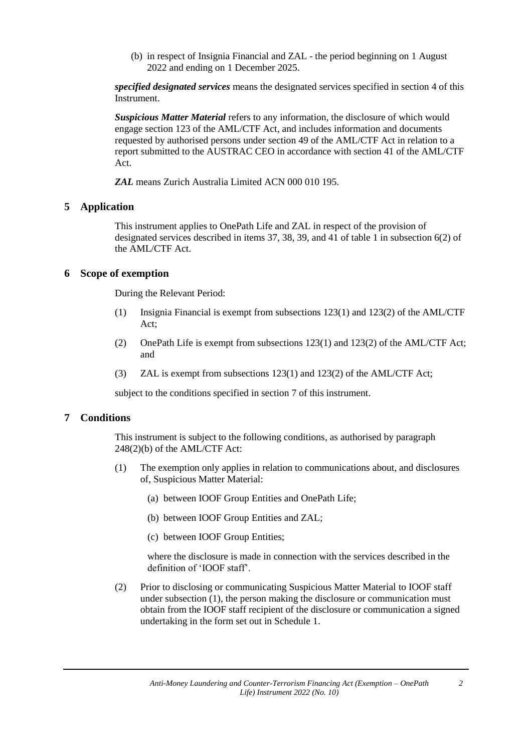(b) in respect of Insignia Financial and ZAL - the period beginning on 1 August 2022 and ending on 1 December 2025.

*specified designated services* means the designated services specified in section 4 of this Instrument.

*Suspicious Matter Material* refers to any information, the disclosure of which would engage section 123 of the AML/CTF Act, and includes information and documents requested by authorised persons under section 49 of the AML/CTF Act in relation to a report submitted to the AUSTRAC CEO in accordance with section 41 of the AML/CTF Act.

*ZAL* means Zurich Australia Limited ACN 000 010 195.

#### **5 Application**

This instrument applies to OnePath Life and ZAL in respect of the provision of designated services described in items 37, 38, 39, and 41 of table 1 in subsection 6(2) of the AML/CTF Act.

#### **6 Scope of exemption**

During the Relevant Period:

- (1) Insignia Financial is exempt from subsections 123(1) and 123(2) of the AML/CTF Act;
- (2) OnePath Life is exempt from subsections 123(1) and 123(2) of the AML/CTF Act; and
- (3) ZAL is exempt from subsections 123(1) and 123(2) of the AML/CTF Act;

subject to the conditions specified in section 7 of this instrument.

#### **7 Conditions**

This instrument is subject to the following conditions, as authorised by paragraph 248(2)(b) of the AML/CTF Act:

- (1) The exemption only applies in relation to communications about, and disclosures of, Suspicious Matter Material:
	- (a) between IOOF Group Entities and OnePath Life;
	- (b) between IOOF Group Entities and ZAL;
	- (c) between IOOF Group Entities;

where the disclosure is made in connection with the services described in the definition of 'IOOF staff'.

(2) Prior to disclosing or communicating Suspicious Matter Material to IOOF staff under subsection (1), the person making the disclosure or communication must obtain from the IOOF staff recipient of the disclosure or communication a signed undertaking in the form set out in Schedule 1.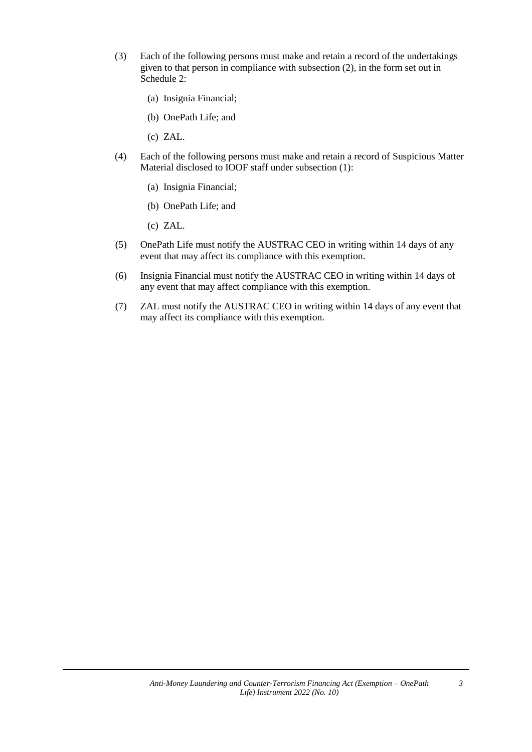- (3) Each of the following persons must make and retain a record of the undertakings given to that person in compliance with subsection (2), in the form set out in Schedule 2:
	- (a) Insignia Financial;
	- (b) OnePath Life; and
	- (c) ZAL.
- (4) Each of the following persons must make and retain a record of Suspicious Matter Material disclosed to IOOF staff under subsection (1):
	- (a) Insignia Financial;
	- (b) OnePath Life; and
	- (c) ZAL.
- (5) OnePath Life must notify the AUSTRAC CEO in writing within 14 days of any event that may affect its compliance with this exemption.
- (6) Insignia Financial must notify the AUSTRAC CEO in writing within 14 days of any event that may affect compliance with this exemption.
- (7) ZAL must notify the AUSTRAC CEO in writing within 14 days of any event that may affect its compliance with this exemption.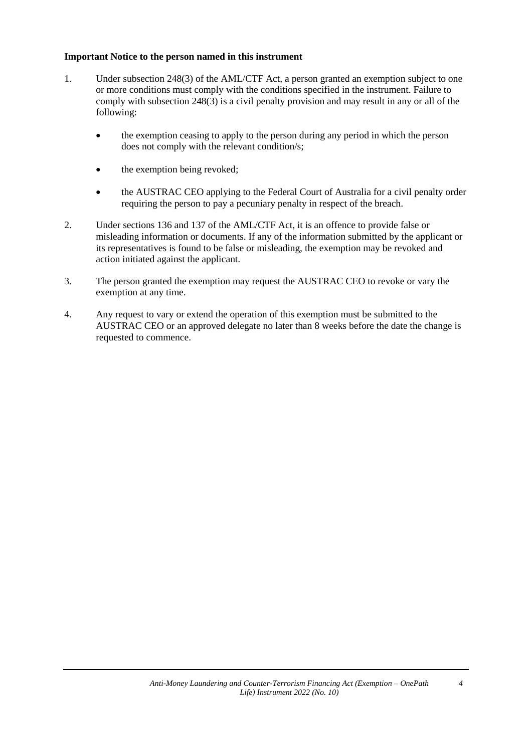#### **Important Notice to the person named in this instrument**

- 1. Under subsection 248(3) of the AML/CTF Act, a person granted an exemption subject to one or more conditions must comply with the conditions specified in the instrument. Failure to comply with subsection 248(3) is a civil penalty provision and may result in any or all of the following:
	- the exemption ceasing to apply to the person during any period in which the person does not comply with the relevant condition/s;
	- the exemption being revoked;
	- the AUSTRAC CEO applying to the Federal Court of Australia for a civil penalty order requiring the person to pay a pecuniary penalty in respect of the breach.
- 2. Under sections 136 and 137 of the AML/CTF Act, it is an offence to provide false or misleading information or documents. If any of the information submitted by the applicant or its representatives is found to be false or misleading, the exemption may be revoked and action initiated against the applicant.
- 3. The person granted the exemption may request the AUSTRAC CEO to revoke or vary the exemption at any time.
- 4. Any request to vary or extend the operation of this exemption must be submitted to the AUSTRAC CEO or an approved delegate no later than 8 weeks before the date the change is requested to commence.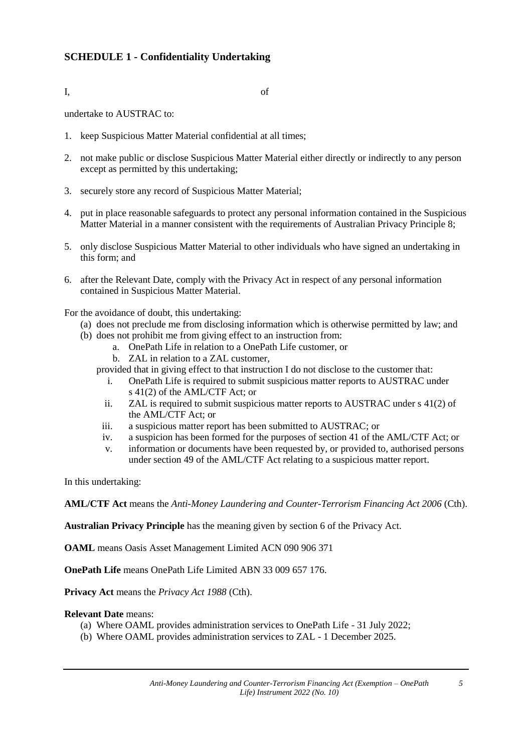### **SCHEDULE 1 - Confidentiality Undertaking**

I, of

undertake to AUSTRAC to:

- 1. keep Suspicious Matter Material confidential at all times;
- 2. not make public or disclose Suspicious Matter Material either directly or indirectly to any person except as permitted by this undertaking;
- 3. securely store any record of Suspicious Matter Material;
- 4. put in place reasonable safeguards to protect any personal information contained in the Suspicious Matter Material in a manner consistent with the requirements of Australian Privacy Principle 8;
- 5. only disclose Suspicious Matter Material to other individuals who have signed an undertaking in this form; and
- 6. after the Relevant Date, comply with the Privacy Act in respect of any personal information contained in Suspicious Matter Material.

For the avoidance of doubt, this undertaking:

- (a) does not preclude me from disclosing information which is otherwise permitted by law; and
- (b) does not prohibit me from giving effect to an instruction from:
	- a. OnePath Life in relation to a OnePath Life customer, or
	- b. ZAL in relation to a ZAL customer,
	- provided that in giving effect to that instruction I do not disclose to the customer that:
		- i. OnePath Life is required to submit suspicious matter reports to AUSTRAC under s 41(2) of the AML/CTF Act; or
		- ii. ZAL is required to submit suspicious matter reports to AUSTRAC under s 41(2) of the AML/CTF Act; or
		- iii. a suspicious matter report has been submitted to AUSTRAC; or
		- iv. a suspicion has been formed for the purposes of section 41 of the AML/CTF Act; or
		- v. information or documents have been requested by, or provided to, authorised persons under section 49 of the AML/CTF Act relating to a suspicious matter report.

In this undertaking:

**AML/CTF Act** means the *Anti-Money Laundering and Counter-Terrorism Financing Act 2006* (Cth).

**Australian Privacy Principle** has the meaning given by section 6 of the Privacy Act.

**OAML** means Oasis Asset Management Limited ACN 090 906 371

**OnePath Life** means OnePath Life Limited ABN 33 009 657 176.

**Privacy Act** means the *Privacy Act 1988* (Cth).

#### **Relevant Date** means:

- (a) Where OAML provides administration services to OnePath Life 31 July 2022;
- (b) Where OAML provides administration services to ZAL 1 December 2025.

*5*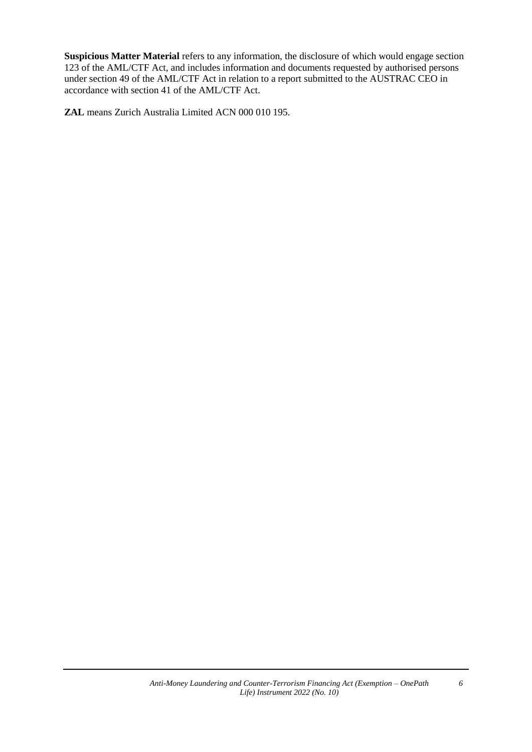**Suspicious Matter Material** refers to any information, the disclosure of which would engage section 123 of the AML/CTF Act, and includes information and documents requested by authorised persons under section 49 of the AML/CTF Act in relation to a report submitted to the AUSTRAC CEO in accordance with section 41 of the AML/CTF Act.

**ZAL** means Zurich Australia Limited ACN 000 010 195.

*6*